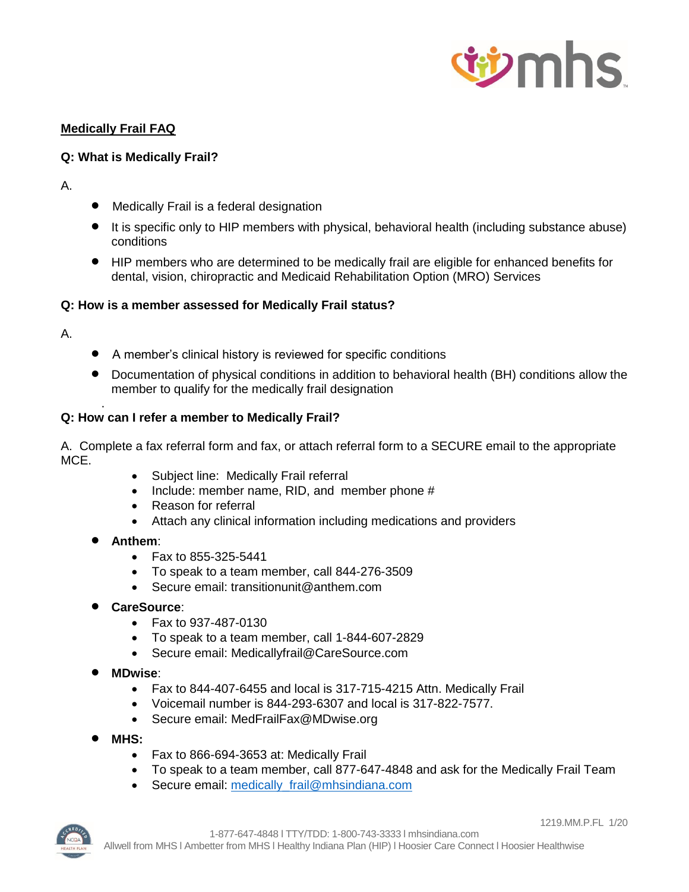

# **Medically Frail FAQ**

# **Q: What is Medically Frail?**

## A.

- Medically Frail is a federal designation
- It is specific only to HIP members with physical, behavioral health (including substance abuse) conditions
- HIP members who are determined to be medically frail are eligible for enhanced benefits for dental, vision, chiropractic and Medicaid Rehabilitation Option (MRO) Services

## **Q: How is a member assessed for Medically Frail status?**

A.

.

- A member's clinical history is reviewed for specific conditions
- Documentation of physical conditions in addition to behavioral health (BH) conditions allow the member to qualify for the medically frail designation

## **Q: How can I refer a member to Medically Frail?**

A. Complete a fax referral form and fax, or attach referral form to a SECURE email to the appropriate MCE.

- Subject line: Medically Frail referral
- Include: member name, RID, and member phone #
- Reason for referral
- Attach any clinical information including medications and providers
- **Anthem**:
	- Fax to 855-325-5441
	- To speak to a team member, call 844-276-3509
	- Secure email: [transitionunit@anthem.com](mailto:transitionunit@anthem.com)
- **CareSource**:
	- Fax to 937-487-0130
	- To speak to a team member, call 1-844-607-2829
	- Secure email: [Medicallyfrail@CareSource.com](mailto:Medicallyfrail@CareSource.com)
- **MDwise**:
	- Fax to 844-407-6455 and local is 317-715-4215 Attn. Medically Frail
	- Voicemail number is 844-293-6307 and local is 317-822-7577.
	- Secure email: MedFrailFax@MDwise.org
- **MHS:**
	- Fax to 866-694-3653 at: Medically Frail
	- To speak to a team member, call 877-647-4848 and ask for the Medically Frail Team
	- Secure email: medically frail@mhsindiana.com

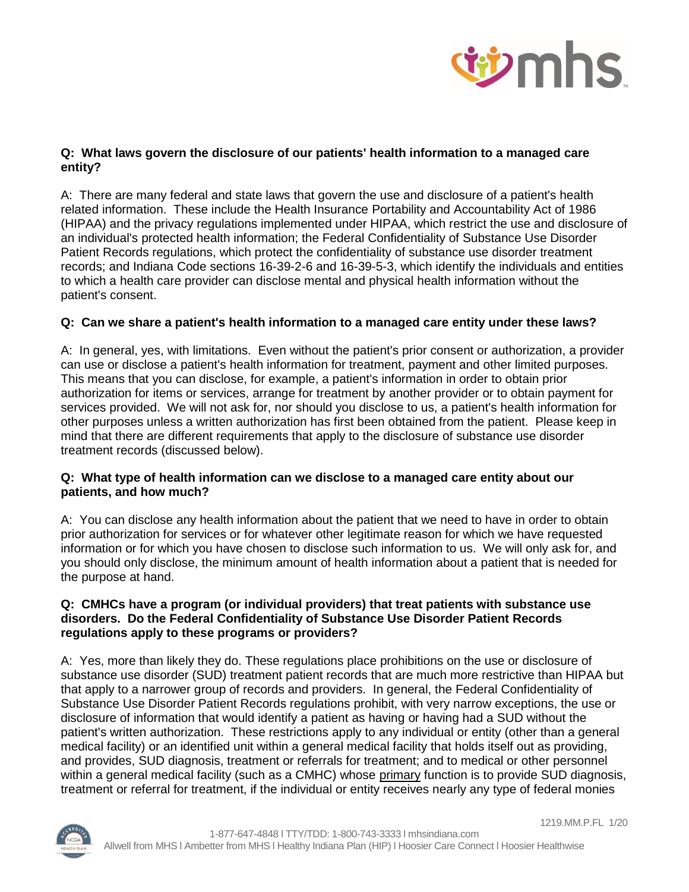

# **Q: What laws govern the disclosure of our patients' health information to a managed care entity?**

A: There are many federal and state laws that govern the use and disclosure of a patient's health related information. These include the Health Insurance Portability and Accountability Act of 1986 (HIPAA) and the privacy regulations implemented under HIPAA, which restrict the use and disclosure of an individual's protected health information; the Federal Confidentiality of Substance Use Disorder Patient Records regulations, which protect the confidentiality of substance use disorder treatment records; and Indiana Code sections 16-39-2-6 and 16-39-5-3, which identify the individuals and entities to which a health care provider can disclose mental and physical health information without the patient's consent.

# **Q: Can we share a patient's health information to a managed care entity under these laws?**

A: In general, yes, with limitations. Even without the patient's prior consent or authorization, a provider can use or disclose a patient's health information for treatment, payment and other limited purposes. This means that you can disclose, for example, a patient's information in order to obtain prior authorization for items or services, arrange for treatment by another provider or to obtain payment for services provided. We will not ask for, nor should you disclose to us, a patient's health information for other purposes unless a written authorization has first been obtained from the patient. Please keep in mind that there are different requirements that apply to the disclosure of substance use disorder treatment records (discussed below).

## **Q: What type of health information can we disclose to a managed care entity about our patients, and how much?**

A:You can disclose any health information about the patient that we need to have in order to obtain prior authorization for services or for whatever other legitimate reason for which we have requested information or for which you have chosen to disclose such information to us. We will only ask for, and you should only disclose, the minimum amount of health information about a patient that is needed for the purpose at hand.

#### **Q: CMHCs have a program (or individual providers) that treat patients with substance use disorders. Do the Federal Confidentiality of Substance Use Disorder Patient Records regulations apply to these programs or providers?**

A: Yes, more than likely they do. These regulations place prohibitions on the use or disclosure of substance use disorder (SUD) treatment patient records that are much more restrictive than HIPAA but that apply to a narrower group of records and providers. In general, the Federal Confidentiality of Substance Use Disorder Patient Records regulations prohibit, with very narrow exceptions, the use or disclosure of information that would identify a patient as having or having had a SUD without the patient's written authorization. These restrictions apply to any individual or entity (other than a general medical facility) or an identified unit within a general medical facility that holds itself out as providing, and provides, SUD diagnosis, treatment or referrals for treatment; and to medical or other personnel within a general medical facility (such as a CMHC) whose primary function is to provide SUD diagnosis, treatment or referral for treatment, if the individual or entity receives nearly any type of federal monies



1219.MM.P.FL 1/20